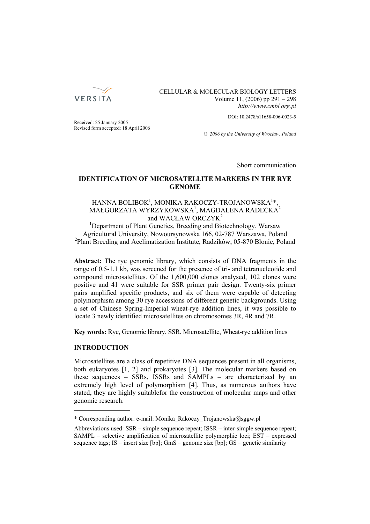

CELLULAR & MOLECULAR BIOLOGY LETTERS Volume 11, (2006) pp 291 – 298 *http://www.cmbl.org.pl*

DOI: 10.2478/s11658-006-0023-5

Received: 25 January 2005 Revised form accepted: 18 April 2006

*© 2006 by the University of Wrocław, Poland*

Short communication

# **IDENTIFICATION OF MICROSATELLITE MARKERS IN THE RYE GENOME**

# HANNA BOLIBOK<sup>1</sup>, MONIKA RAKOCZY-TROJANOWSKA<sup>1</sup>\*, MAŁGORZATA WYRZYKOWSKA<sup>1</sup>, MAGDALENA RADECKA<sup>2</sup> and WACŁAW ORCZYK<sup>2</sup>

<sup>1</sup>Department of Plant Genetics, Breeding and Biotechnology, Warsaw Agricultural University, Nowoursynowska 166, 02-787 Warszawa, Poland 2 Plant Breeding and Acclimatization Institute, Radzików, 05-870 Błonie, Poland

**Abstract:** The rye genomic library, which consists of DNA fragments in the range of 0.5-1.1 kb, was screened for the presence of tri- and tetranucleotide and compound microsatellites. Of the 1,600,000 clones analysed, 102 clones were positive and 41 were suitable for SSR primer pair design. Twenty-six primer pairs amplified specific products, and six of them were capable of detecting polymorphism among 30 rye accessions of different genetic backgrounds. Using a set of Chinese Spring-Imperial wheat-rye addition lines, it was possible to locate 3 newly identified microsatellites on chromosomes 3R, 4R and 7R.

**Key words:** Rye, Genomic library, SSR, Microsatellite, Wheat-rye addition lines

# **INTRODUCTION**

Microsatellites are a class of repetitive DNA sequences present in all organisms, both eukaryotes [1, 2] and prokaryotes [3]. The molecular markers based on these sequences – SSRs, ISSRs and SAMPLs – are characterized by an extremely high level of polymorphism [4]. Thus, as numerous authors have stated, they are highly suitablefor the construction of molecular maps and other genomic research.

<sup>\*</sup> Corresponding author: e-mail: Monika\_Rakoczy\_Trojanowska@sggw.pl

Abbreviations used: SSR – simple sequence repeat; ISSR – inter-simple sequence repeat; SAMPL – selective amplification of microsatellite polymorphic loci; EST – expressed sequence tags; IS – insert size [bp]; GmS – genome size [bp]; GS – genetic similarity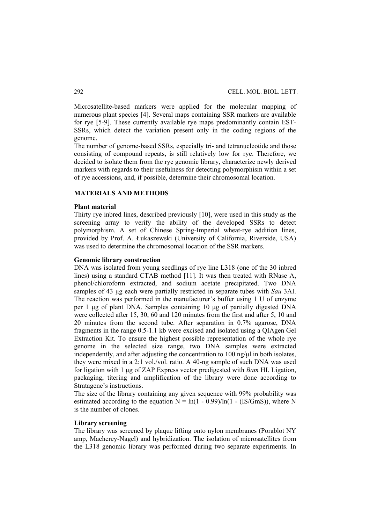Microsatellite-based markers were applied for the molecular mapping of numerous plant species [4]. Several maps containing SSR markers are available for rye [5-9]. These currently available rye maps predominantly contain EST-SSRs, which detect the variation present only in the coding regions of the genome.

The number of genome-based SSRs, especially tri- and tetranucleotide and those consisting of compound repeats, is still relatively low for rye. Therefore, we decided to isolate them from the rye genomic library, characterize newly derived markers with regards to their usefulness for detecting polymorphism within a set of rye accessions, and, if possible, determine their chromosomal location.

# **MATERIALS AND METHODS**

## **Plant material**

Thirty rye inbred lines, described previously [10], were used in this study as the screening array to verify the ability of the developed SSRs to detect polymorphism. A set of Chinese Spring-Imperial wheat-rye addition lines, provided by Prof. A. Łukaszewski (University of California, Riverside, USA) was used to determine the chromosomal location of the SSR markers.

#### **Genomic library construction**

DNA was isolated from young seedlings of rye line L318 (one of the 30 inbred lines) using a standard CTAB method [11]. It was then treated with RNase A, phenol/chloroform extracted, and sodium acetate precipitated. Two DNA samples of 43 μg each were partially restricted in separate tubes with *Sau* 3AI. The reaction was performed in the manufacturer's buffer using 1 U of enzyme per 1 μg of plant DNA. Samples containing 10 μg of partially digested DNA were collected after 15, 30, 60 and 120 minutes from the first and after 5, 10 and 20 minutes from the second tube. After separation in 0.7% agarose, DNA fragments in the range 0.5-1.1 kb were excised and isolated using a QIAgen Gel Extraction Kit. To ensure the highest possible representation of the whole rye genome in the selected size range, two DNA samples were extracted independently, and after adjusting the concentration to 100 ng/μl in both isolates, they were mixed in a 2:1 vol./vol. ratio. A 40-ng sample of such DNA was used for ligation with 1 μg of ZAP Express vector predigested with *Bam* HI. Ligation, packaging, titering and amplification of the library were done according to Stratagene's instructions.

The size of the library containing any given sequence with 99% probability was estimated according to the equation  $N = \ln(1 - 0.99)/\ln(1 - (IS/GmS))$ , where N is the number of clones.

# **Library screening**

The library was screened by plaque lifting onto nylon membranes (Porablot NY amp, Macherey-Nagel) and hybridization. The isolation of microsatellites from the L318 genomic library was performed during two separate experiments. In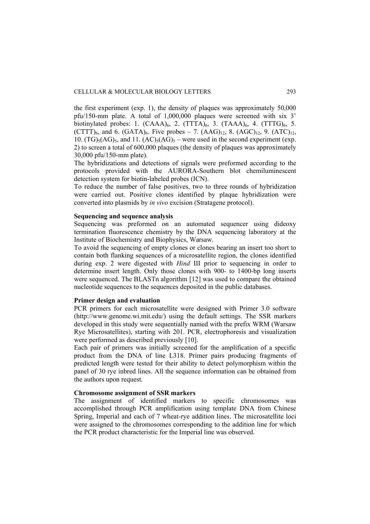the first experiment (exp. 1), the density of plaques was approximately 50,000 pfu/150-mm plate. A total of 1,000,000 plaques were screened with six 3' biotinylated probes: 1.  $(CAAA)_{6}$ , 2.  $(TTTA)_{6}$ , 3.  $(TAAA)_{6}$ , 4.  $(TTTG)_{6}$ , 5.  $(CTTT)_{6}$ , and 6.  $(GATA)_{6}$ . Five probes – 7.  $(AAG)_{12}$ , 8.  $(AGC)_{12}$ , 9.  $(ATC)_{12}$ , 10.  $(TG)_{5}(AG)_{5}$ , and 11.  $(AC)_{5}(AG)_{5}$  – were used in the second experiment (exp. 2) to screen a total of 600,000 plaques (the density of plaques was approximately 30,000 pfu/150-mm plate).

The hybridizations and detections of signals were preformed according to the protocols provided with the AURORA-Southern blot chemiluminescent detection system for biotin-labeled probes (ICN).

To reduce the number of false positives, two to three rounds of hybridization were carried out. Positive clones identified by plaque hybridization were converted into plasmids by *in vivo* excision (Stratagene protocol).

## **Sequencing and sequence analysis**

Sequencing was preformed on an automated sequencer using dideoxy termination fluorescence chemistry by the DNA sequencing laboratory at the Institute of Biochemistry and Biophysics, Warsaw.

To avoid the sequencing of empty clones or clones bearing an insert too short to contain both flanking sequences of a microsatellite region, the clones identified during exp. 2 were digested with *Hind* III prior to sequencing in order to determine insert length. Only those clones with 900- to 1400-bp long inserts were sequenced. The BLASTn algorithm [12] was used to compare the obtained nucleotide sequences to the sequences deposited in the public databases.

## **Primer design and evaluation**

PCR primers for each microsatellite were designed with Primer 3.0 software (http://www.genome.wi.mit.edu/) using the default settings. The SSR markers developed in this study were sequentially named with the prefix WRM (Warsaw Rye Microsatellites), starting with 201. PCR, electrophoresis and visualization were performed as described previously [10].

Each pair of primers was initially screened for the amplification of a specific product from the DNA of line L318. Primer pairs producing fragments of predicted length were tested for their ability to detect polymorphism within the panel of 30 rye inbred lines. All the sequence information can be obtained from the authors upon request.

## **Chromosome assignment of SSR markers**

The assignment of identified markers to specific chromosomes was accomplished through PCR amplification using template DNA from Chinese Spring, Imperial and each of 7 wheat-rye addition lines. The microsatellite loci were assigned to the chromosomes corresponding to the addition line for which the PCR product characteristic for the Imperial line was observed.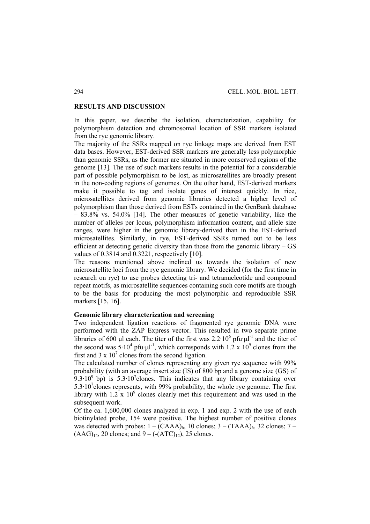## **RESULTS AND DISCUSSION**

In this paper, we describe the isolation, characterization, capability for polymorphism detection and chromosomal location of SSR markers isolated from the rye genomic library.

The majority of the SSRs mapped on rye linkage maps are derived from EST data bases. However, EST-derived SSR markers are generally less polymorphic than genomic SSRs, as the former are situated in more conserved regions of the genome [13]. The use of such markers results in the potential for a considerable part of possible polymorphism to be lost, as microsatellites are broadly present in the non-coding regions of genomes. On the other hand, EST-derived markers make it possible to tag and isolate genes of interest quickly. In rice, microsatellites derived from genomic libraries detected a higher level of polymorphism than those derived from ESTs contained in the GenBank database – 83.8% vs. 54.0% [14]. The other measures of genetic variability, like the number of alleles per locus, polymorphism information content, and allele size ranges, were higher in the genomic library-derived than in the EST-derived microsatellites. Similarly, in rye, EST-derived SSRs turned out to be less efficient at detecting genetic diversity than those from the genomic library – GS values of 0.3814 and 0.3221, respectively [10].

The reasons mentioned above inclined us towards the isolation of new microsatellite loci from the rye genomic library. We decided (for the first time in research on rye) to use probes detecting tri- and tetranucleotide and compound repeat motifs, as microsatellite sequences containing such core motifs are though to be the basis for producing the most polymorphic and reproducible SSR markers [15, 16].

#### **Genomic library characterization and screening**

Two independent ligation reactions of fragmented rye genomic DNA were performed with the ZAP Express vector. This resulted in two separate prime libraries of 600 µl each. The titer of the first was  $2.2 \cdot 10^6$  pfu·µl<sup>-1</sup> and the titer of the second was  $5.10^4$  pfu·µl<sup>-1</sup>, which corresponds with 1.2 x  $10^9$  clones from the first and  $3 \times 10^7$  clones from the second ligation.

The calculated number of clones representing any given rye sequence with 99% probability (with an average insert size (IS) of 800 bp and a genome size (GS) of  $9.3 \cdot 10^9$  bp) is  $5.3 \cdot 10^7$ clones. This indicates that any library containing over  $5.3 \cdot 10^7$  clones represents, with 99% probability, the whole rye genome. The first library with  $1.2 \times 10^9$  clones clearly met this requirement and was used in the subsequent work.

Of the ca. 1,600,000 clones analyzed in exp. 1 and exp. 2 with the use of each biotinylated probe, 154 were positive. The highest number of positive clones was detected with probes:  $1 - (CAAA)_6$ , 10 clones;  $3 - (TAAA)_6$ , 32 clones;  $7 (AAG)_{12}$ , 20 clones; and 9 – (- $(ATC)_{12}$ ), 25 clones.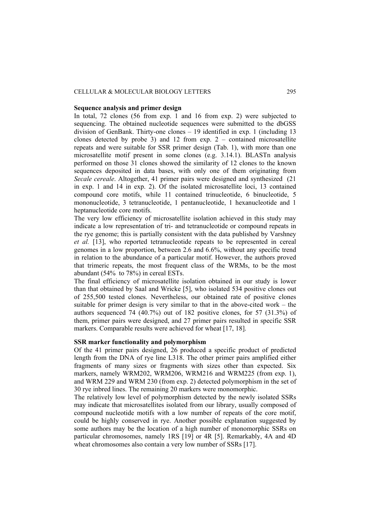## CELLULAR & MOLECULAR BIOLOGY LETTERS 295

#### **Sequence analysis and primer design**

In total, 72 clones (56 from exp. 1 and 16 from exp. 2) were subjected to sequencing. The obtained nucleotide sequences were submitted to the dbGSS division of GenBank. Thirty-one clones – 19 identified in exp. 1 (including 13 clones detected by probe 3) and 12 from  $exp. 2 - contained$  microsatellite repeats and were suitable for SSR primer design (Tab. 1), with more than one microsatellite motif present in some clones (e.g. 3.14.1). BLASTn analysis performed on those 31 clones showed the similarity of 12 clones to the known sequences deposited in data bases, with only one of them originating from *Secale cereale*. Altogether, 41 primer pairs were designed and synthesized (21 in exp. 1 and 14 in exp. 2). Of the isolated microsatellite loci, 13 contained compound core motifs, while 11 contained trinucleotide, 6 binucleotide, 5 mononucleotide, 3 tetranucleotide, 1 pentanucleotide, 1 hexanucleotide and 1 heptanucleotide core motifs.

The very low efficiency of microsatellite isolation achieved in this study may indicate a low representation of tri- and tetranucleotide or compound repeats in the rye genome; this is partially consistent with the data published by Varshney *et al.* [13], who reported tetranucleotide repeats to be represented in cereal genomes in a low proportion, between 2.6 and 6.6%, without any specific trend in relation to the abundance of a particular motif. However, the authors proved that trimeric repeats, the most frequent class of the WRMs, to be the most abundant (54% to 78%) in cereal ESTs.

The final efficiency of microsatellite isolation obtained in our study is lower than that obtained by Saal and Wricke [5], who isolated 534 positive clones out of 255,500 tested clones. Nevertheless, our obtained rate of positive clones suitable for primer design is very similar to that in the above-cited work – the authors sequenced 74 (40.7%) out of 182 positive clones, for 57 (31.3%) of them, primer pairs were designed, and 27 primer pairs resulted in specific SSR markers. Comparable results were achieved for wheat [17, 18].

## **SSR marker functionality and polymorphism**

Of the 41 primer pairs designed, 26 produced a specific product of predicted length from the DNA of rye line L318. The other primer pairs amplified either fragments of many sizes or fragments with sizes other than expected. Six markers, namely WRM202, WRM206, WRM216 and WRM225 (from exp. 1), and WRM 229 and WRM 230 (from exp. 2) detected polymorphism in the set of 30 rye inbred lines. The remaining 20 markers were monomorphic.

The relatively low level of polymorphism detected by the newly isolated SSRs may indicate that microsatellites isolated from our library, usually composed of compound nucleotide motifs with a low number of repeats of the core motif, could be highly conserved in rye. Another possible explanation suggested by some authors may be the location of a high number of monomorphic SSRs on particular chromosomes, namely 1RS [19] or 4R [5]. Remarkably, 4A and 4D wheat chromosomes also contain a very low number of SSRs [17].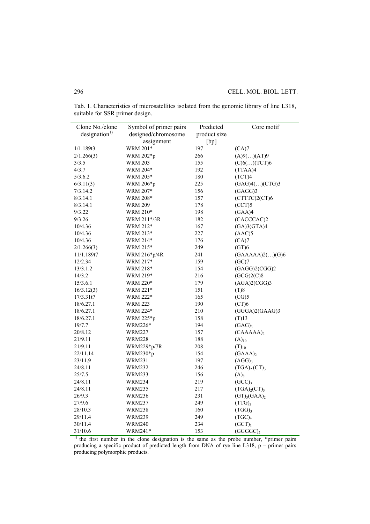| Clone No./clone          | Symbol of primer pairs | Predicted    | Core motif                           |
|--------------------------|------------------------|--------------|--------------------------------------|
| designation <sup>1</sup> | designed/chromosome    | product size |                                      |
|                          | assignment             | [bp]         |                                      |
| 1/1.189t3                | <b>WRM 201*</b>        | 197          | $\overline{(CA)7}$                   |
| 2/1.266(3)               | WRM 202*p              | 266          | (A)9()(AT)9                          |
| 3/3.5                    | WRM 203                | 155          | $(C)6$ ()(TCT)6                      |
| 4/3.7                    | WRM 204*               | 192          | (TTAA)4                              |
| 5/3.6.2                  | WRM 205*               | 180          | (TCT)4                               |
| 6/3.11(3)                | WRM 206*p              | 225          | (GAG)4()(CTG)3                       |
| 7/3.14.2                 | WRM 207*               | 156          | (GAGG)3                              |
| 8/3.14.1                 | WRM 208*               | 157          | (CTTTC)2(CT)6                        |
| 8/3.14.1                 | WRM 209                | 178          | (CCT)5                               |
| 9/3.22                   | WRM 210*               | 198          | (GAA)4                               |
| 9/3.26                   | WRM 211*/3R            | 182          | (CACCCAC)2                           |
| 10/4.36                  | WRM 212*               | 167          | (GA)3(GTA)4                          |
| 10/4.36                  | WRM 213*               | 227          | (AAC)5                               |
| 10/4.36                  | WRM 214*               | 176          | (CA)7                                |
| 2/1.266(3)               | WRM 215*               | 249          | (GT)6                                |
| 11/1.189t7               | WRM 216*p/4R           | 241          | (GAAAA)2()(G)6                       |
| 12/2.34                  | WRM 217*               | 159          | (GC)7                                |
| 13/3.1.2                 | WRM 218*               | 154          | (GAGG)2(CGG)2                        |
| 14/3.2                   | WRM 219*               | 216          | (GCG)2(C)8                           |
| 15/3.6.1                 | WRM 220*               | 179          | (AGA)2(CGG)3                         |
| 16/3.12(3)               | WRM 221*               | 151          | (T)8                                 |
| 17/3.31t7                | WRM 222*               | 165          | (CG)5                                |
| 18/6.27.1                | <b>WRM 223</b>         | 190          | (CT)6                                |
| 18/6.27.1                | <b>WRM 224*</b>        | 210          | (GGGA)2(GAAG)3                       |
| 18/6.27.1                | WRM 225*p              | 158          | $(T)$ 13                             |
| 19/7.7                   | WRM226*                | 194          | (GAG)                                |
| 20/8.12                  | WRM227                 | 157          | $(CAAA)_{2}$                         |
| 21/9.11                  | <b>WRM228</b>          | 188          | $(A)_{10}$                           |
| 21/9.11                  | WRM229*p/7R            | 208          | $(T)_{10}$                           |
| 22/11.14                 | WRM230*p               | 154          | $(GAAA)_2$                           |
| 23/11.9                  | <b>WRM231</b>          | 197          | (AGG) <sub>3</sub>                   |
| 24/8.11                  | <b>WRM232</b>          | 246          | (TGA) <sub>2</sub> (CT) <sub>3</sub> |
| 25/7.5                   | WRM233                 | 156          | $(A)_{8}$                            |
| 24/8.11                  | WRM234                 | 219          | $(GCC)_{3}$                          |
| 24/8.11                  | <b>WRM235</b>          | 217          | (TGA) <sub>2</sub> (CT) <sub>3</sub> |
| 26/9.3                   | <b>WRM236</b>          | 231          | $(GT)_{3}(GAA)_{2}$                  |
| 27/9.6                   | <b>WRM237</b>          | 249          | $(TTG)_{3}$                          |
| 28/10.3                  | <b>WRM238</b>          | 160          | $(TGG)_3$                            |
| 29/11.4                  | WRM239                 | 249          | (TGC) <sub>4</sub>                   |
| 30/11.4                  | <b>WRM240</b>          | 234          | (GCT)                                |
| 31/10.6                  | WRM241*                | 153          | (GGGGC) <sub>2</sub>                 |

Tab. 1. Characteristics of microsatellites isolated from the genomic library of line L318, suitable for SSR primer design.

<sup>1)</sup> the first number in the clone designation is the same as the probe number, \*primer pairs producing a specific product of predicted length from DNA of rye line L318, p – primer pairs producing polymorphic products.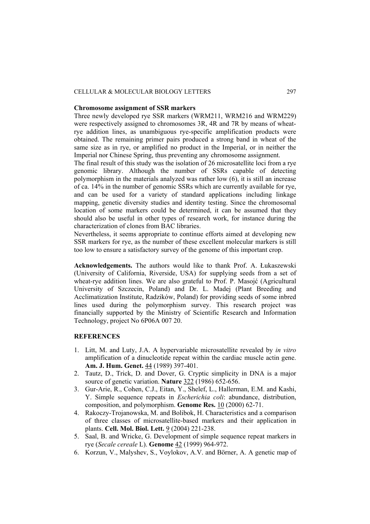## CELLULAR & MOLECULAR BIOLOGY LETTERS 297

#### **Chromosome assignment of SSR markers**

Three newly developed rye SSR markers (WRM211, WRM216 and WRM229) were respectively assigned to chromosomes 3R, 4R and 7R by means of wheatrye addition lines, as unambiguous rye-specific amplification products were obtained. The remaining primer pairs produced a strong band in wheat of the same size as in rye, or amplified no product in the Imperial, or in neither the Imperial nor Chinese Spring, thus preventing any chromosome assignment.

The final result of this study was the isolation of 26 microsatellite loci from a rye genomic library. Although the number of SSRs capable of detecting polymorphism in the materials analyzed was rather low (6), it is still an increase of ca. 14% in the number of genomic SSRs which are currently available for rye, and can be used for a variety of standard applications including linkage mapping, genetic diversity studies and identity testing. Since the chromosomal location of some markers could be determined, it can be assumed that they should also be useful in other types of research work, for instance during the characterization of clones from BAC libraries.

Nevertheless, it seems appropriate to continue efforts aimed at developing new SSR markers for rye, as the number of these excellent molecular markers is still too low to ensure a satisfactory survey of the genome of this important crop.

**Acknowledgements.** The authors would like to thank Prof. A. Łukaszewski (University of California, Riverside, USA) for supplying seeds from a set of wheat-rye addition lines. We are also grateful to Prof. P. Masojć (Agricultural University of Szczecin, Poland) and Dr. L. Madej (Plant Breeding and Acclimatization Institute, Radzików, Poland) for providing seeds of some inbred lines used during the polymorphism survey. This research project was financially supported by the Ministry of Scientific Research and Information Technology, project No 6P06A 007 20.

#### **REFERENCES**

- 1. Litt, M. and Luty, J.A. A hypervariable microsatellite revealed by *in vitro* amplification of a dinucleotide repeat within the cardiac muscle actin gene. **Am. J. Hum. Genet.** 44 (1989) 397-401.
- 2. Tautz, D., Trick, D. and Dover, G. Cryptic simplicity in DNA is a major source of genetic variation. **Nature** 322 (1986) 652-656.
- 3. Gur-Arie, R., Cohen, C.J., Eitan, Y., Shelef, L., Hallerman, E.M. and Kashi, Y. Simple sequence repeats in *Escherichia coli*: abundance, distribution, composition, and polymorphism. **Genome Res.** 10 (2000) 62-71.
- 4. Rakoczy-Trojanowska, M. and Bolibok, H. Characteristics and a comparison of three classes of microsatellite-based markers and their application in plants. **Cell. Mol. Biol. Lett.** 9 (2004) 221-238.
- 5. Saal, B. and Wricke, G. Development of simple sequence repeat markers in rye (*Secale cereale* L). **Genome** 42 (1999) 964-972.
- 6. Korzun, V., Malyshev, S., Voylokov, A.V. and Börner, A. A genetic map of